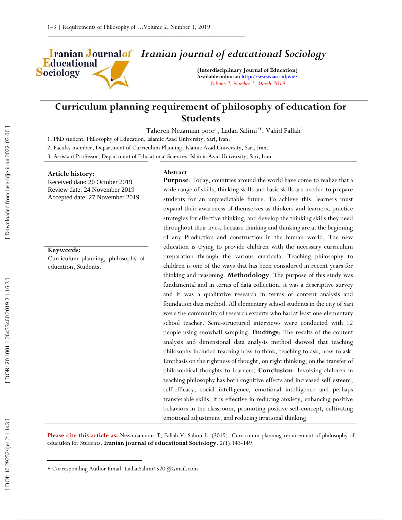Educational **Sociology** 

# *Iranian journal of educational Sociology*

**(Interdisciplinary Journal of Education) Available online at[: http://www.iase](http://www.iase-idje.ir/) -idje.ir/** *Volume 2, Number 1, March 2019*

# **Curriculum planning requirement of philosophy of education for Students**

Tahereh Nezamian poor<sup>1</sup>, Ladan Salimi<sup>2\*</sup>, Vahid Fallah<sup>3</sup>

1. PhD student, Philosophy of Education, Islamic Azad University, Sari, Iran.

2. Faculty member, Department of Curriculum Planning, Islamic Azad University, Sari, Iran.

3. Assistant Professor, Department of Educational Sciences, Islamic Azad University, Sari, Iran.

### **Article history:**

Received date: 20 October 2019 Review date: 24 November 2019 Accepted date: 27 November 2019

## **Keywords:**

Curriculum planning, philosophy of education, Students.

### **Abstract**

**Purpose**: Today, countries around the world have come to realize that a wide range of skills, thinking skills and basic skills are needed to prepare students for an unpredictable future. To achieve this, learners must expand their awareness of themselves as thinkers and learners, practice strategies for effective thinking, and develop the thinking skills they need throughout their lives, because thinking and thinking are at the beginning of any Production and construction in the human world. The new education is trying to provide children with the necessary curriculum preparation through the various curricula. Teaching philosophy to children is one of the ways that has been considered in recent years for thinking and reasoning. **Methodology**: The purpose of this study was fundamental and in terms of data collection, it was a descriptive survey and it was a qualitative research in terms of content analysis and foundation data method. All elementary school students in the city of Sari were the community of research experts who had at least one elementary school teacher. Semi -structured interviews were conducted with 12 people using snowball sampling. **Findings**: The results of the content analysis and dimensional data analysis method showed that teaching philosophy included teaching how to think, teaching to ask, how to ask. Emphasis on the rightness of thought, on right thinking, on the transfer of philosophical thoughts to learners. **Conclusion**: Involving children in teaching philosophy has both cognitive effects and increased self-esteem, self-efficacy, social intelligence, emotional intelligence and perhaps transferable skills. It is effective in reducing anxiety, enhancing positive behaviors in the classroom, promoting positive self -concept, cultivating emotional adjustment, and reducing irrational thinking.

**Please cite this article as:** Nezamianpour T, Fallah V, Salimi L. (201 9). Curriculum planning requirement of philosophy of education for Students. **Iranian journal of educational Sociology**. 2 ( 1):143 -149.

 $\overline{\phantom{a}}$ 

Corresponding Author Email: LadanSalimi4520 @Gmail.com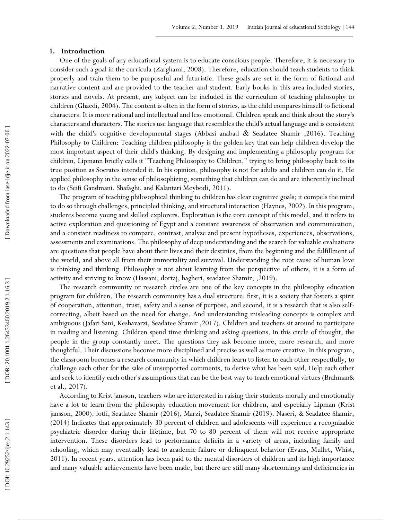## **1 . Introduction**

One of the goals of any educational system is to educate conscious people. Therefore, it is necessary to consider such a goal in the curricula (Zarghami, 2008). Therefore, education should teach students to think properly and train them to be purposeful and futuristic. These goals are set in the form of fictional and narrative content and are provided to the teacher and student. Early books in this area included stories, stories and novels. At present, any subject can be included in the curriculum of teaching philosophy to children (Ghaedi, 2004). The content is often in the form of stories, as the child compares himself to fictional characters. It is more rational and intellectual and less emotional. Children speak and think about the story's characters and characters. The stories use language that resembles the child's actual language and is consistent with the child's cognitive developmental stages (Abbasi anabad  $\&$  Seadatee Shamir , 2016). Teaching Philosophy to Children: Teaching children philosophy is the golden key that can help children develop the most important aspect of their child's thinking. By designing and implementing a philosophy program for children, Lipmann briefly calls it "Teaching Philosophy to Children," trying to bring philosophy back to its true position as Socrates intended it. In his opinion, philosophy is not for adults and children can do it. He applied philosophy in the sense of philosophizing, something that children can do and are inherently inclined to do (Seifi Gandmani, Shafaghi, and Kalantari Meybodi, 2011).

The program of teaching philosophical thinking to children has clear cognitive goals; it compels the mind to do so through challenges, principled thinking, and structural interaction (Haynes, 2002). In this program, students become young and skilled explorers. Exploration is the core concept of this model, and it refers to active exploration and questioning of Egypt and a constant awareness of observation and communication, and a constant readiness to compare, contrast, analyze and present hypotheses, experiences, observations, assessments and examinations. The philosophy of deep understanding and the search for valuable evaluations are questions that people have about their lives and their destinies, from the beginning and the fulfillment of the world, and above all from their immortality and survival. Understanding the root cause of human love is thinking and thinking. Philosophy is not about learning from the perspective of others, it is a form of activity and striving to know (Hassani, dortaj, bagheri, seadatee Shamir, ,2019).

The research community or research circles are one of the key concepts in the philosophy education program for children. The research community has a dual structure: first, it is a society that fosters a spirit of cooperation, attention, trust, safety and a sense of purpose, and second, it is a research that is also self correcting, albeit based on the need for change. And understanding misleading concepts is complex and ambiguous (Jafari Sani, Keshavarzi, Seadatee Shamir ,2017). Children and teachers sit around to participate in reading and listening. Children spend time thinking and asking questions. In this circle of thought, the people in the group constantly meet. The questions they ask become more, more research, and more thoughtful. Their discussions become more disciplined and precise as well as more creative. In this program, the classroom becomes a research community in which children learn to listen to each other respectfully, to challenge each other for the sake of unsupported comments, to derive what has been said. Help each other and seek to identify each other's assumptions that can be the best way to teach emotional virtues (Brahman& et al., 2017).

According to Krist jansson, teachers who are interested in raising their students morally and emotionally have a lot to learn from the philosophy education movement for children, and especially Lipman (Krist jansson, 2000). lotfi, Seadatee Shamir (2016), Marzi, Seadatee Shamir (2019). Naseri, & Seadatee Shamir, (2014) Indicates that approximately 30 percent of children and adolescents will experience a recognizable psychiatric disorder during their lifetime, but 70 to 80 percent of them will not receive appropriate intervention. These disorders lead to performance deficits in a variety of areas, including family and schooling, which may eventually lead to academic failure or delinquent behavior (Evans, Mullet, Whist, 2011). In recent years, attention has been paid to the mental disorders of children and its high importance and many valuable achievements have been made, but there are still many shortcomings and deficiencies in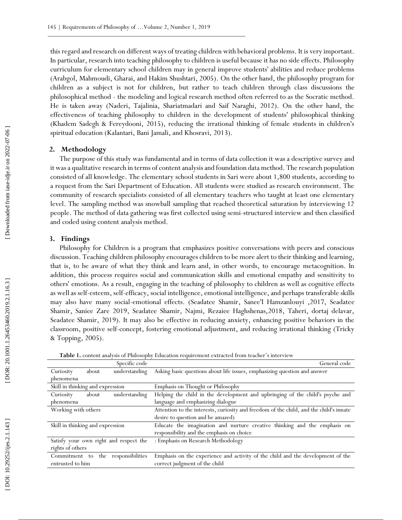this regard and research on different ways of treating children with behavioral problems. It is very important. In particular, research into teaching philosophy to children is useful because it has no side effects. Philosophy curriculum for elementary school children may in general improve students' abilities and reduce problems (Arabgol, Mahmoudi, Gharai, and Hakim Shushtari, 2005). On the other hand, the philosophy program for children as a subject is not for children, but rather to teach children through class discussions the philosophical method - the modeling and logical research method often referred to as the Socratic method. He is taken away (Naderi, Tajalinia, Shariatmadari and Saif Naraghi, 2012). On the other hand, the effectiveness of teaching philosophy to children in the development of students' philosophical thinking (Khadem Sadegh & Fereydooni, 2015), reducing the irrational thinking of female students in children's spiritual education (Kalantari, Bani Jamali, and Khosravi, 2013).

## **2. Methodology**

The purpose of this study was fundamental and in terms of data collection it was a descriptive survey and it was a qualitative research in terms of content analysis and foundation data method. The research population consisted of all knowledge. The elementary school students in Sari were about 1,800 students, according to a request from the Sari Department of Education. All students were studied as research environment. The community of research specialists consisted of all elementary teachers who taught at least one elementary level. The sampling method was snowball sampling that reached theoretical saturation by interviewing 12 people. The method of data gathering was first collected using semi -structured interview and then classified and coded using content analysis method.

## **3. Findings**

Philosophy for Children is a program that emphasizes positive conversations with peers and conscious discussion. Teaching children philosophy encourages children to be more alert to their thinking and learning, that is, to be aware of what they think and learn and, in other words, to encourage metacognition. In addition, this process requires social and communication skills and emotional empathy and sensitivity to others' emotions. As a result, engaging in the teaching of philosophy to children as well as cognitive effects as well as self-esteem, self-efficacy, social intelligence, emotional intelligence, and perhaps transferable skills may also have many social -emotional effects. (Seadatee Shamir, Sanee'I Hamzanlouyi ,2017, Seadatee Shamir, Saniee Zare 2019, Seadatee Shamir, Najmi, Rezaiee Haghshenas,2018, Taheri, dortaj delavar, Seadatee Shamir, 2019). It may also be effective in reducing anxiety, enhancing positive behaviors in the classroom, positive self-concept, fostering emotional adjustment, and reducing irrational thinking (Tricky & Topping, 2005).

| Specific code                          | General code                                                                           |
|----------------------------------------|----------------------------------------------------------------------------------------|
| understanding<br>Curiosity<br>about    | Asking basic questions about life issues, emphasizing question and answer              |
| phenomena                              |                                                                                        |
| Skill in thinking and expression       | Emphasis on Thought or Philosophy                                                      |
| understanding<br>about<br>Curiosity    | Helping the child in the development and upbringing of the child's psyche and          |
| phenomena                              | language and emphasizing dialogue                                                      |
| Working with others                    | Attention to the interests, curiosity and freedom of the child, and the child's innate |
|                                        | desire to question and be amazed)                                                      |
| Skill in thinking and expression       | Educate the imagination and nurture creative thinking and the emphasis on              |
|                                        | responsibility and the emphasis on choice                                              |
| Satisfy your own right and respect the | : Emphasis on Research Methodology                                                     |
| rights of others                       |                                                                                        |
| the responsibilities<br>Commitment to  | Emphasis on the experience and activity of the child and the development of the        |
| entrusted to him                       | correct judgment of the child                                                          |

**Table 1.** content analysis of Philosophy Education requirement extracted from teacher's interview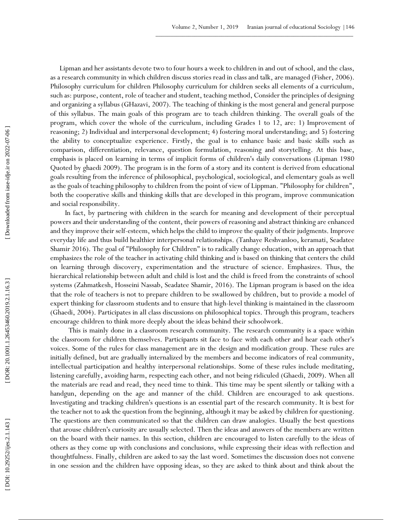Lipman and her assistants devote two to four hours a week to children in and out of school, and the class, as a research community in which children discuss stories read in class and talk, are managed (Fisher, 2006). Philosophy curriculum for children Philosophy curriculum for children seeks all elements of a curriculum, such as: purpose, content, role of teacher and student, teaching method, Consider the principles of designing and organizing a syllabus (GHazavi, 2007). The teaching of thinking is the most general and general purpose of this syllabus. The main goals of this program are to teach children thinking. The overall goals of the program, which cover the whole of the curriculum, including Grades 1 to 12, are: 1) Improvement of reasoning; 2) Individual and interpersonal development; 4) fostering moral understanding; and 5) fostering the ability to conceptualize experience. Firstly, the goal is to enhance basic and basic skills such as comparison, differentiation, relevance, question formulation, reasoning and storytelling. At this base, emphasis is placed on learning in terms of implicit forms of children's daily conversations (Lipman 1980 Quoted by ghaedi 2009). The program is in the form of a story and its content is derived from educational goals resulting from the inference of philosophical, psychological, sociological, and elementary goals as well as the goals of teaching philosophy to children from the point of view of Lippman. "Philosophy for children", both the cooperative skills and thinking skills that are developed in this program, improve communication and social responsibility.

 In fact, by partnering with children in the search for meaning and development of their perceptual powers and their understanding of the content, their powers of reasoning and abstract thinking are enhanced and they improve their self-esteem, which helps the child to improve the quality of their judgments. Improve everyday life and thus build healthier interpersonal relationships. (Tanhaye Reshvanloo, keramati, Seadatee Shamir 2016). The goal of "Philosophy for Children" is to radically change education, with an approach that emphasizes the role of the teacher in activating child thinking and is based on thinking that centers the child on learning through discovery, experimentation and the structure of science. Emphasizes. Thus, the hierarchical relationship between adult and child is lost and the child is freed from the constraints of school systems (Zahmatkesh, Hosseini Nassab, Seadatee Shamir, 2016). The Lipman program is based on the idea that the role of teachers is not to prepare children to be swallowed by children, but to provide a model of expert thinking for classroom students and to ensure that high -level thinking is maintained in the classroom (Ghaedi, 2004). Participates in all class discussions on philosophical topics. Through this program, teachers encourage children to think more deeply about the ideas behind their schoolwork.

This is mainly done in a classroom research community. The research community is a space within the classroom for children themselves. Participants sit face to face with each other and hear each other's voices. Some of the rules for class management are in the design and modification group. These rules are initially defined, but are gradually internalized by the members and become indicators of real community, intellectual participation and healthy interpersonal relationships. Some of these rules include meditating, listening carefully, avoiding harm, respecting each other, and not being ridiculed (Ghaedi, 2009). When all the materials are read and read, they need time to think. This time may be spent silently or talking with a handgun, depending on the age and manner of the child. Children are encouraged to ask questions. Investigating and tracking children's questions is an essential part of the research community. It is best for the teacher not to ask the question from the beginning, although it may be asked by children for questioning. The questions are then communicated so that the children can draw analogies. Usually the best questions that arouse children's curiosity are usually selected. Then the ideas and answers of the members are written on the board with their names. In this section, children are encouraged to listen carefully to the ideas of others as they come up with conclusions and conclusions, while expressing their ideas with reflection and thoughtfulness. Finally, children are asked to say the last word. Sometimes the discussion does not convene in one session and the children have opposing ideas, so they are asked to think about and think about the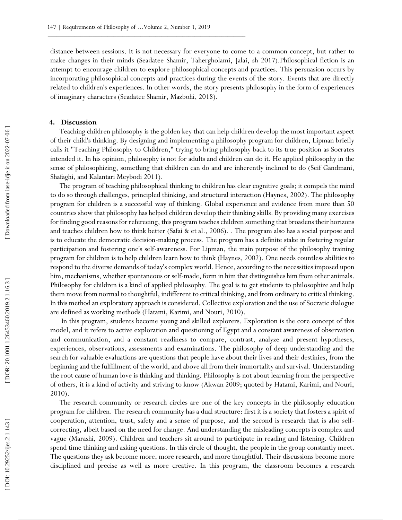distance between sessions. It is not necessary for everyone to come to a common concept, but rather to make changes in their minds (Seadatee Shamir, Tahergholami, Jalai, sh 2017).Philosophical fiction is an attempt to encourage children to explore philosophical concepts and practices. This persuasion occurs by incorporating philosophical concepts and practices during the events of the story. Events that are directly related to children's experiences. In other words, the story presents philosophy in the form of experiences of imaginary characters (Seadatee Shamir, Mazbohi, 2018).

## **4. Discussion**

Teaching children philosophy is the golden key that can help children develop the most important aspect of their child's thinking. By designing and implementing a philosophy program for children, Lipman briefly calls it "Teaching Philosophy to Children," trying to bring philosophy back to its true position as Socrates intended it. In his opinion, philosophy is not for adults and children can do it. He applied philosophy in the sense of philosophizing, something that children can do and are inherently inclined to do (Seif Gandmani, Shafaghi, and Kalantari Meybodi 2011).

The program of teaching philosophical thinking to children has clear cognitive goals; it compels the mind to do so through challenges, principled thinking, and structural interaction (Haynes, 2002). The philosophy program for children is a successful way of thinking. Global experience and evidence from more than 50 countries show that philosophy has helped children develop their thinking skills. By providing many exercises for finding good reasons for refereeing, this program teaches children something that broadens their horizons and teaches children how to think better (Safai & et al., 2006). . The program also has a social purpose and is to educate the democratic decision -making process. The program has a definite stake in fostering regular participation and fostering one's self -awareness. For Lipman, the main purpose of the philosophy training program for children is to help children learn how to think (Haynes, 2002). One needs countless abilities to respond to the diverse demands of today's complex world. Hence, according to the necessities imposed upon him, mechanisms, whether spontaneous or self-made, form in him that distinguishes him from other animals. Philosophy for children is a kind of applied philosophy. The goal is to get students to philosophize and help them move from normal to thoughtful, indifferent to critical thinking, and from ordinary to critical thinking. In this method an exploratory approach is considered. Collective exploration and the use of Socratic dialogue are defined as working methods (Hatami, Karimi, and Nouri, 2010).

In this program, students become young and skilled explorers. Exploration is the core concept of this model, and it refers to active exploration and questioning of Egypt and a constant awareness of observation and communication, and a constant readiness to compare, contrast, analyze and present hypotheses, experiences, observations, assessments and examinations. The philosophy of deep understanding and the search for valuable evaluations are questions that people have about their lives and their destinies, from the beginning and the fulfillment of the world, and above all from their immortality and survival. Understanding the root cause of human love is thinking and thinking. Philosophy is not about learning from the perspective of others, it is a kind of activity and striving to know (Akwan 2009; quoted by Hatami, Karimi, and Nouri, 2010).

The research community or research circles are one of the key concepts in the philosophy education program for children. The research community has a dual structure: first it is a society that fosters a spirit of cooperation, attention, trust, safety and a sense of purpose, and the second is research that is also self correcting, albeit based on the need for change. And understanding the misleading concepts is complex and vague (Marashi, 2009). Children and teachers sit around to participate in reading and listening. Children spend time thinking and asking questions. In this circle of thought, the people in the group constantly meet. The questions they ask become more, more research, and more thoughtful. Their discussions become more disciplined and precise as well as more creative. In this program, the classroom becomes a research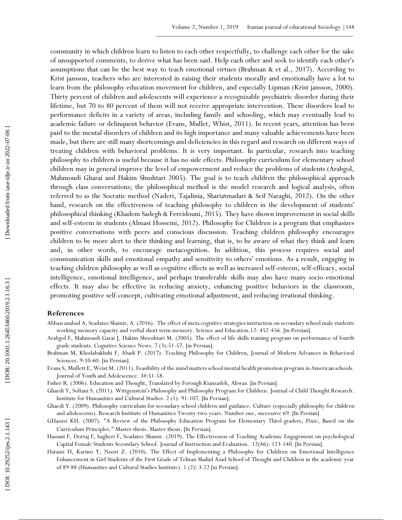community in which children learn to listen to each other respectfully, to challenge each other for the sake of unsupported comments, to derive what has been said. Help each other and seek to identify each other's assumptions that can be the best way to teach emotional virtues (Brahman & et al., 2017). According to Krist jansson, teachers who are interested in raising their students morally and emotionally have a lot to learn from the philosophy education movement for children, and especially Lipman (Krist jansson, 2000). Thirty percent of children and adolescents will experience a recognizable psychiatric disorder during their lifetime, but 70 to 80 percent of them will not receive appropriate intervention. These disorders lead to performance deficits in a variety of areas, including family and schooling, which may eventually lead to academic failure or delinquent behavior (Evans, Mullet, Whist, 2011). In recent years, attention has been paid to the mental disorders of children and its high importance and many valuable achievements have been made, but there are still many shortcomings and deficiencies in this regard and research on different ways of treating children with behavioral problems. It is very important. In particular, research into teaching philosophy to children is useful because it has no side effects. Philosophy curriculum for elementary school children may in general improve the level of empowerment and reduce the problems of students (Arabgol, Mahmoudi Gharai and Hakim Shushtari 2005). The goal is to teach children the philosophical approach through class conversations; the philosophical method is the model research and logical analysis, often referred to as the Socratic method (Naderi, Tajalinia, Shariatmadari & Seif Naraghi, 2012). On the other hand, research on the effectiveness of teaching philosophy to children in the development of students' philosophical thinking (Khadem Sadegh & Fereidouni, 2015). They have shown improvement in social skills and self-esteem in students (Almasi Hosseini, 2012). Philosophy for Children is a program that emphasizes positive conversations with peers and conscious discussion. Teaching children philosophy encourages children to be more alert to their thinking and learning, that is, to be aware of what they think and learn and, in other words, to encourage metacognition. In addition, this process requires social and communication skills and emotional empathy and sensitivity to others' emotions. As a result, engaging in teaching children philosophy as well as cognitive effects as well as increased self -esteem, self-efficacy, social intelligence, emotional intelligence, and perhaps transferable skills may also have many socio-emotional effects. It may also be effective in reducing anxiety, enhancing positive behaviors in the classroom, promoting positive self-concept, cultivating emotional adjustment, and reducing irrational thinking.

## **References**

- Abbasi anabad A, Seadatee Shamir, A. (2016). The effect of meta cognitive strategies instruction on secondary school male students working memory capacity and verbal short term memory. Science and Education.12: 452 -456. [in Persian].
- Arabgol F, Mahmoudi Garai J, Hakim Shooshtari M. (2005). The effect of life skills training program on performance of fourth grade students. Cognitive Science News. 7 (3):51 -57. [in Persian].
- Brahman M, Khodabakhshi F, Abadi P. (2017). Teaching Philosophy for Children, Journal of Modern Advances in Behavioral Sciences. 9:10 -60. [in Persian].
- Evans S, Mullett E, Weist M. (2011). Feasibility of the mind matters school mental health promotion program in American schools. Journal of Youth and Adolescence. 34:51 -58.

Fisher R. (2006). Education and Thought, Translated by Forough Kianzadeh, Ahwaz. [in Persian].

Ghaedi Y, Soltani S. (2011). Wittgenstein's Philosophy and Philosophy Program for Children. Journal of Child Thought Research. Institute for Humanities and Cultural Studies. 2 (1): 91 -107. [In Persian].

- Ghaedi Y. (2009). Philosophy curriculum for secondary school children and guidance. Culture (especially philosophy for children and adolescents). Research Institute of Humanities Twenty -two years. Number one, successive 69. [In Persian]
- GHazavi KH. (2007). "A Review of the Philosophy Education Program for Elementary Third -graders, Pixie, Based on the Curriculum Principles." Master thesis. Master thesis . [In Persian].
- Hassani F, Dortaj F, bagheri F, Seadatee Shamir. (2019). The Effectiveness of Teaching Academic Engagement on psychological Capital Female Students Secondary School. Journal of Instruction and Evaluation. 12(46): 123 -140. [In Persian].
- Hatami H, Karimi Y, Noori Z. (2010). The Effect of Implementing a Philosophy for Children on Emotional Intelligence Enhancement in Girl Students of the First Grade of Tehran Shahid Azad School of Thought and Children in the academic year of 89 -88 (Humanities and Cultural Studies Institute). 1 (2) : 3 -22 [in Persian].